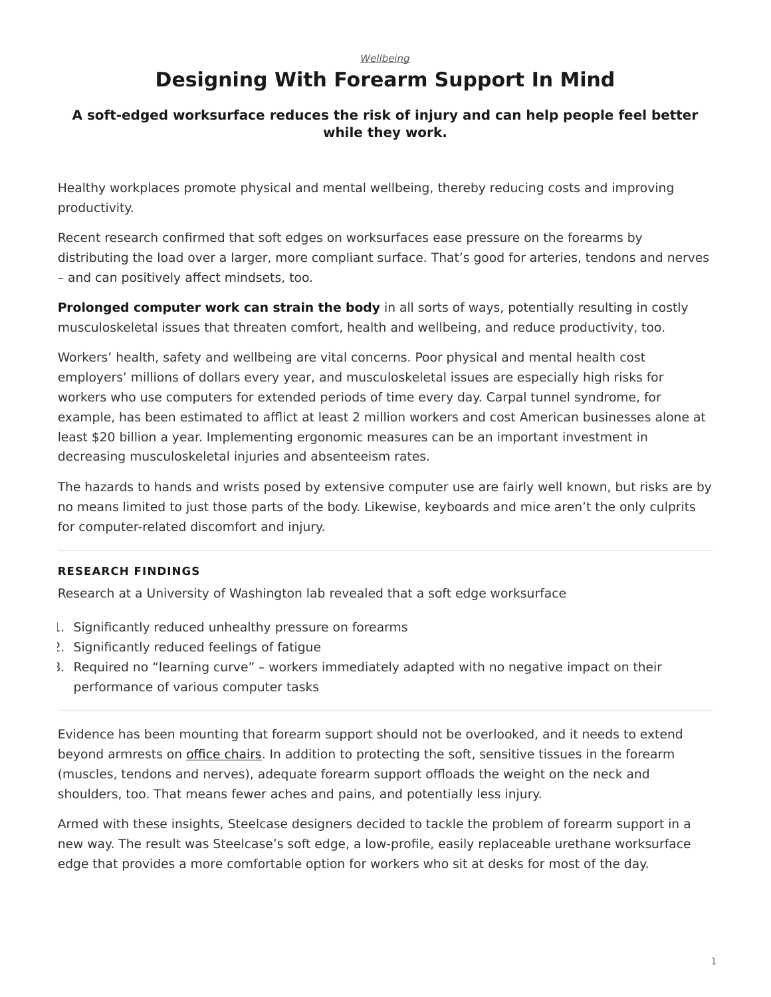## **Designing With Forearm Support In Mind**

#### <span id="page-0-0"></span>**A soft-edged worksurface reduces the risk of injury and can help people feel better while they work.**

Healthy workplaces promote physical and mental wellbeing, thereby reducing costs and improving productivity.

Recent research confirmed that soft edges on worksurfaces ease pressure on the forearms by distributing the load over a larger, more compliant surface. That's good for arteries, tendons and nerves – and can positively affect mindsets, too.

**Prolonged computer work can strain the body** in all sorts of ways, potentially resulting in costly musculoskeletal issues that threaten comfort, health and wellbeing, and reduce productivity, too.

Workers' health, safety and wellbeing are vital concerns. Poor physical and mental health cost employers' millions of dollars every year, and musculoskeletal issues are especially high risks for workers who use computers for extended periods of time every day. Carpal tunnel syndrome, for example, has been estimated to afflict at least 2 million workers and cost American businesses alone at least \$20 billion a year. Implementing ergonomic measures can be an important investment in decreasing musculoskeletal injuries and absenteeism rates.

The hazards to hands and wrists posed by extensive computer use are fairly well known, but risks are by no means limited to just those parts of the body. Likewise, keyboards and mice aren't the only culprits for computer-related discomfort and injury.

#### **RESEARCH FINDINGS**

Research at a University of Washington lab revealed that a soft edge worksurface

- 1. Significantly reduced unhealthy pressure on forearms
- 2. Significantly reduced feelings of fatigue
- 3. Required no "learning curve" workers immediately adapted with no negative impact on their performance of various computer tasks

Evidence has been mounting that forearm support should not be overlooked, and it needs to extend beyond armrests on [office chairs.](https://www.steelcase.com/products/office-chairs/) In addition to protecting the soft, sensitive tissues in the forearm (muscles, tendons and nerves), adequate forearm support offloads the weight on the neck and shoulders, too. That means fewer aches and pains, and potentially less injury.

Armed with these insights, Steelcase designers decided to tackle the problem of forearm support in a new way. The result was Steelcase's soft edge, a low-profile, easily replaceable urethane worksurface edge that provides a more comfortable option for workers who sit at desks for most of the day.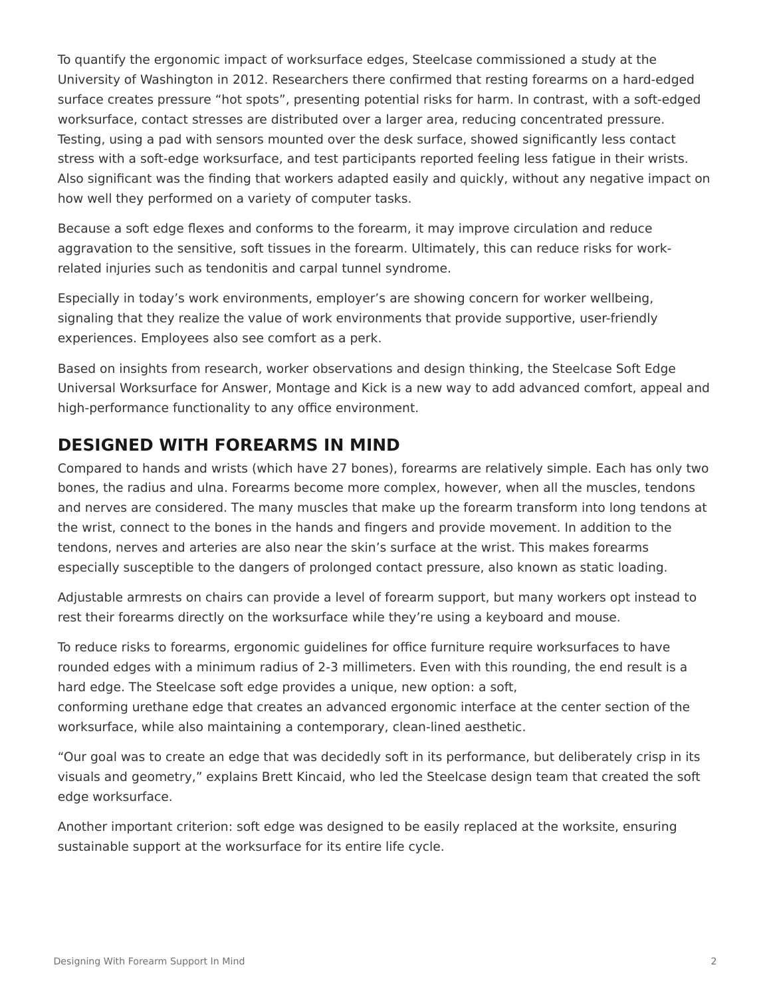To quantify the ergonomic impact of worksurface edges, Steelcase commissioned a study at the University of Washington in 2012. Researchers there confirmed that resting forearms on a hard-edged surface creates pressure "hot spots", presenting potential risks for harm. In contrast, with a soft-edged worksurface, contact stresses are distributed over a larger area, reducing concentrated pressure. Testing, using a pad with sensors mounted over the desk surface, showed significantly less contact stress with a soft-edge worksurface, and test participants reported feeling less fatigue in their wrists. Also significant was the finding that workers adapted easily and quickly, without any negative impact on how well they performed on a variety of computer tasks.

Because a soft edge flexes and conforms to the forearm, it may improve circulation and reduce aggravation to the sensitive, soft tissues in the forearm. Ultimately, this can reduce risks for workrelated injuries such as tendonitis and carpal tunnel syndrome.

Especially in today's work environments, employer's are showing concern for worker wellbeing, signaling that they realize the value of work environments that provide supportive, user-friendly experiences. Employees also see comfort as a perk.

Based on insights from research, worker observations and design thinking, the Steelcase Soft Edge Universal Worksurface for Answer, Montage and Kick is a new way to add advanced comfort, appeal and high-performance functionality to any office environment.

#### **DESIGNED WITH FOREARMS IN MIND**

Compared to hands and wrists (which have 27 bones), forearms are relatively simple. Each has only two bones, the radius and ulna. Forearms become more complex, however, when all the muscles, tendons and nerves are considered. The many muscles that make up the forearm transform into long tendons at the wrist, connect to the bones in the hands and fingers and provide movement. In addition to the tendons, nerves and arteries are also near the skin's surface at the wrist. This makes forearms especially susceptible to the dangers of prolonged contact pressure, also known as static loading.

Adjustable armrests on chairs can provide a level of forearm support, but many workers opt instead to rest their forearms directly on the worksurface while they're using a keyboard and mouse.

To reduce risks to forearms, ergonomic guidelines for office furniture require worksurfaces to have rounded edges with a minimum radius of 2-3 millimeters. Even with this rounding, the end result is a hard edge. The Steelcase soft edge provides a unique, new option: a soft, conforming urethane edge that creates an advanced ergonomic interface at the center section of the

worksurface, while also maintaining a contemporary, clean-lined aesthetic.

"Our goal was to create an edge that was decidedly soft in its performance, but deliberately crisp in its visuals and geometry," explains Brett Kincaid, who led the Steelcase design team that created the soft edge worksurface.

Another important criterion: soft edge was designed to be easily replaced at the worksite, ensuring sustainable support at the worksurface for its entire life cycle.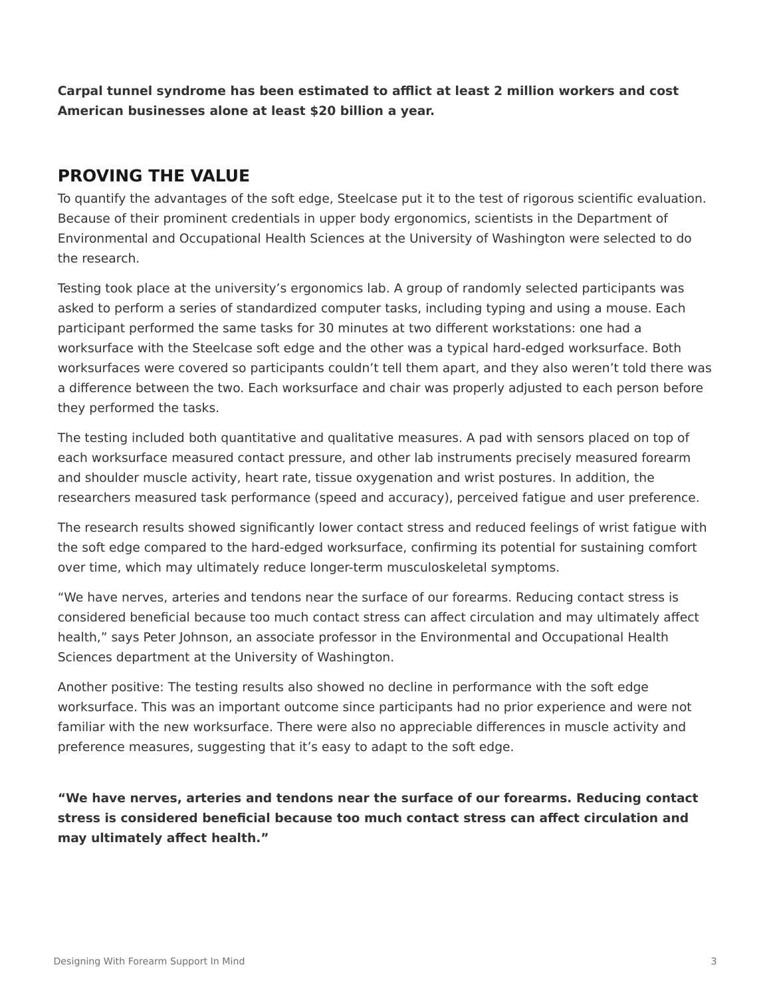**Carpal tunnel syndrome has been estimated to afflict at least 2 million workers and cost American businesses alone at least \$20 billion a year.**

## **PROVING THE VALUE**

To quantify the advantages of the soft edge, Steelcase put it to the test of rigorous scientific evaluation. Because of their prominent credentials in upper body ergonomics, scientists in the Department of Environmental and Occupational Health Sciences at the University of Washington were selected to do the research.

Testing took place at the university's ergonomics lab. A group of randomly selected participants was asked to perform a series of standardized computer tasks, including typing and using a mouse. Each participant performed the same tasks for 30 minutes at two different workstations: one had a worksurface with the Steelcase soft edge and the other was a typical hard-edged worksurface. Both worksurfaces were covered so participants couldn't tell them apart, and they also weren't told there was a difference between the two. Each worksurface and chair was properly adjusted to each person before they performed the tasks.

The testing included both quantitative and qualitative measures. A pad with sensors placed on top of each worksurface measured contact pressure, and other lab instruments precisely measured forearm and shoulder muscle activity, heart rate, tissue oxygenation and wrist postures. In addition, the researchers measured task performance (speed and accuracy), perceived fatigue and user preference.

The research results showed significantly lower contact stress and reduced feelings of wrist fatigue with the soft edge compared to the hard-edged worksurface, confirming its potential for sustaining comfort over time, which may ultimately reduce longer-term musculoskeletal symptoms.

"We have nerves, arteries and tendons near the surface of our forearms. Reducing contact stress is considered beneficial because too much contact stress can affect circulation and may ultimately affect health," says Peter Johnson, an associate professor in the Environmental and Occupational Health Sciences department at the University of Washington.

Another positive: The testing results also showed no decline in performance with the soft edge worksurface. This was an important outcome since participants had no prior experience and were not familiar with the new worksurface. There were also no appreciable differences in muscle activity and preference measures, suggesting that it's easy to adapt to the soft edge.

**"We have nerves, arteries and tendons near the surface of our forearms. Reducing contact stress is considered beneficial because too much contact stress can affect circulation and may ultimately affect health."**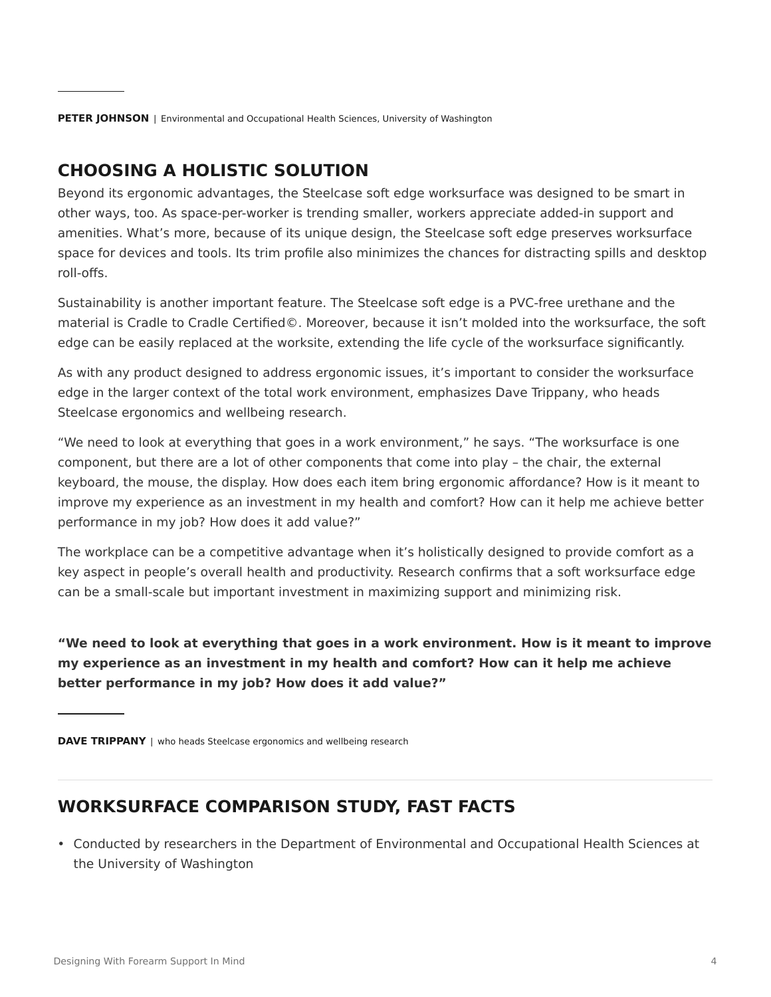## **CHOOSING A HOLISTIC SOLUTION**

Beyond its ergonomic advantages, the Steelcase soft edge worksurface was designed to be smart in other ways, too. As space-per-worker is trending smaller, workers appreciate added-in support and amenities. What's more, because of its unique design, the Steelcase soft edge preserves worksurface space for devices and tools. Its trim profile also minimizes the chances for distracting spills and desktop roll-offs.

Sustainability is another important feature. The Steelcase soft edge is a PVC-free urethane and the material is Cradle to Cradle Certified©. Moreover, because it isn't molded into the worksurface, the soft edge can be easily replaced at the worksite, extending the life cycle of the worksurface significantly.

As with any product designed to address ergonomic issues, it's important to consider the worksurface edge in the larger context of the total work environment, emphasizes Dave Trippany, who heads Steelcase ergonomics and wellbeing research.

"We need to look at everything that goes in a work environment," he says. "The worksurface is one component, but there are a lot of other components that come into play – the chair, the external keyboard, the mouse, the display. How does each item bring ergonomic affordance? How is it meant to improve my experience as an investment in my health and comfort? How can it help me achieve better performance in my job? How does it add value?"

The workplace can be a competitive advantage when it's holistically designed to provide comfort as a key aspect in people's overall health and productivity. Research confirms that a soft worksurface edge can be a small-scale but important investment in maximizing support and minimizing risk.

**"We need to look at everything that goes in a work environment. How is it meant to improve my experience as an investment in my health and comfort? How can it help me achieve better performance in my job? How does it add value?"**

**DAVE TRIPPANY** | who heads Steelcase ergonomics and wellbeing research

#### **WORKSURFACE COMPARISON STUDY, FAST FACTS**

• Conducted by researchers in the Department of Environmental and Occupational Health Sciences at the University of Washington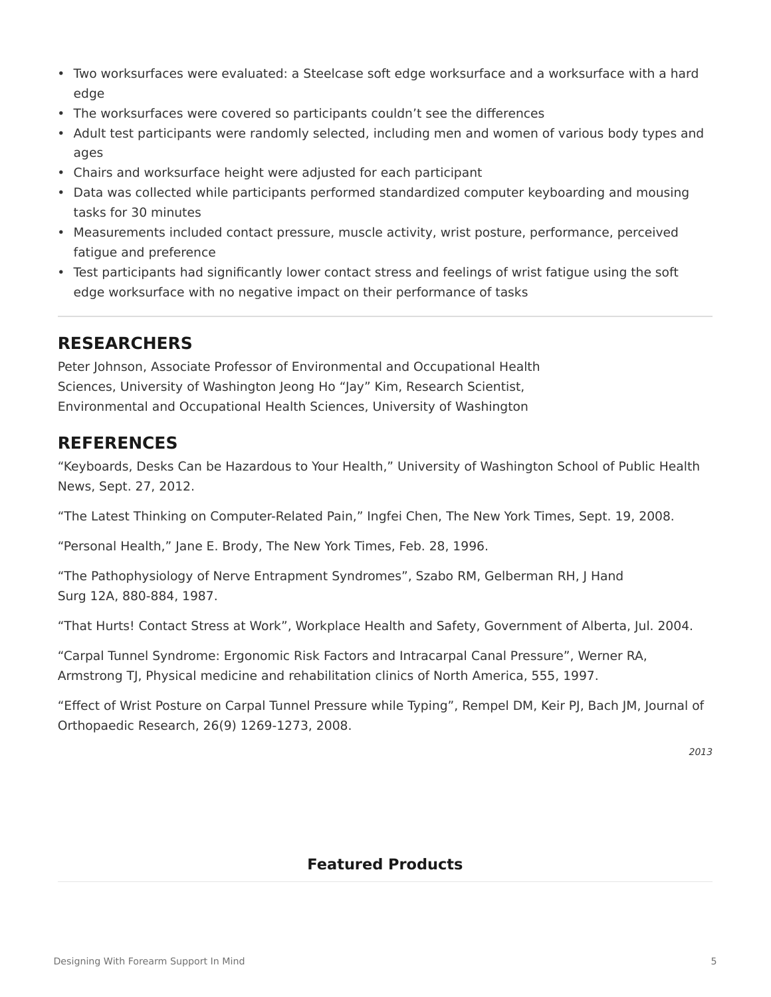- Two worksurfaces were evaluated: a Steelcase soft edge worksurface and a worksurface with a hard edge
- The worksurfaces were covered so participants couldn't see the differences
- Adult test participants were randomly selected, including men and women of various body types and ages
- Chairs and worksurface height were adjusted for each participant
- Data was collected while participants performed standardized computer keyboarding and mousing tasks for 30 minutes
- Measurements included contact pressure, muscle activity, wrist posture, performance, perceived fatigue and preference
- Test participants had significantly lower contact stress and feelings of wrist fatigue using the soft edge worksurface with no negative impact on their performance of tasks

#### **RESEARCHERS**

Peter Johnson, Associate Professor of Environmental and Occupational Health Sciences, University of Washington Jeong Ho "Jay" Kim, Research Scientist, Environmental and Occupational Health Sciences, University of Washington

#### **REFERENCES**

"Keyboards, Desks Can be Hazardous to Your Health," University of Washington School of Public Health News, Sept. 27, 2012.

"The Latest Thinking on Computer-Related Pain," Ingfei Chen, The New York Times, Sept. 19, 2008.

"Personal Health," Jane E. Brody, The New York Times, Feb. 28, 1996.

"The Pathophysiology of Nerve Entrapment Syndromes", Szabo RM, Gelberman RH, J Hand Surg 12A, 880-884, 1987.

"That Hurts! Contact Stress at Work", Workplace Health and Safety, Government of Alberta, Jul. 2004.

"Carpal Tunnel Syndrome: Ergonomic Risk Factors and Intracarpal Canal Pressure", Werner RA, Armstrong TJ, Physical medicine and rehabilitation clinics of North America, 555, 1997.

"Effect of Wrist Posture on Carpal Tunnel Pressure while Typing", Rempel DM, Keir PJ, Bach JM, Journal of Orthopaedic Research, 26(9) 1269-1273, 2008.

*2013*

#### **Featured Products**